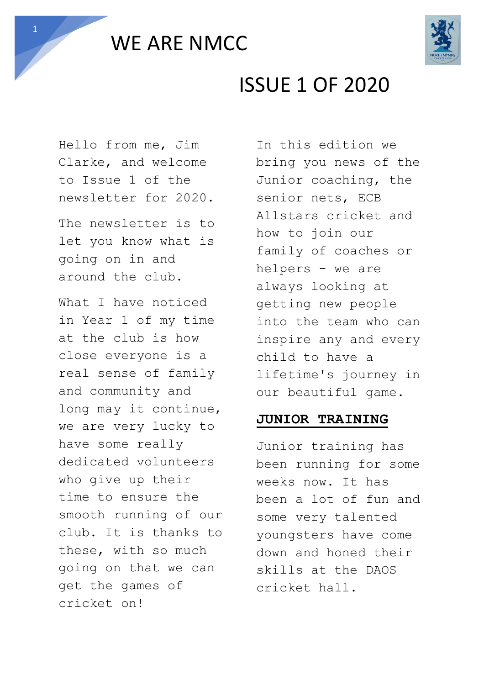



# ISSUE 1 OF 2020

Hello from me, Jim Clarke, and welcome to Issue 1 of the newsletter for 2020.

The newsletter is to let you know what is going on in and around the club.

What I have noticed in Year 1 of my time at the club is how close everyone is a real sense of family and community and long may it continue, we are very lucky to have some really dedicated volunteers who give up their time to ensure the smooth running of our club. It is thanks to these, with so much going on that we can get the games of cricket on!

In this edition we bring you news of the Junior coaching, the senior nets, ECB Allstars cricket and how to join our family of coaches or helpers - we are always looking at getting new people into the team who can inspire any and every child to have a lifetime's journey in our beautiful game.

#### **JUNIOR TRAINING**

Junior training has been running for some weeks now. It has been a lot of fun and some very talented youngsters have come down and honed their skills at the DAOS cricket hall.

1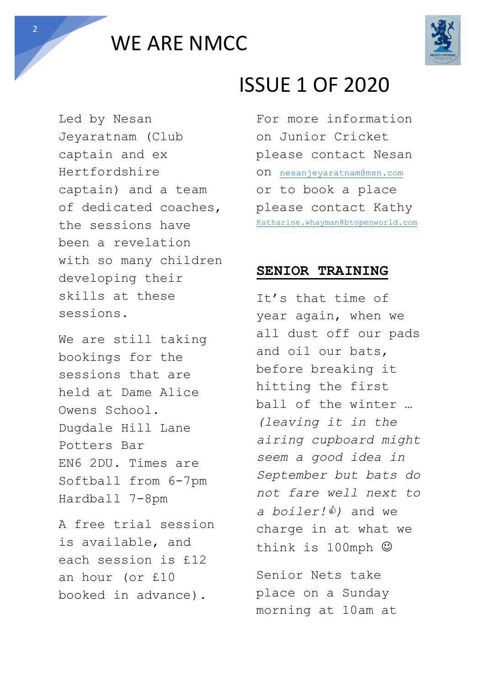



Led by Nesan Jeyaratnam (Club captain and ex Hertfordshire captain) and a team of dedicated coaches, the sessions have been a revelation with so many children developing their skills at these sessions.

We are still taking bookings for the sessions that are held at Dame Alice Owens School. Dugdale Hill Lane Potters Bar EN6 2DU. Times are Softball from 6-7pm Hardball 7-8pm

A free trial session is available, and each session is £12 an hour (or £10 booked in advance).

# ISSUE 1 OF 2020

For more information on Junior Cricket please contact Nesan on [nesanjeyaratnam@msn.com](mailto:nesanjeyaratnam@msn.com) or to book a place please contact Kathy [Katharine.whayman@btopenworld.com](mailto:Katharine.whayman@btopenworld.com)

#### **SENIOR TRAINING**

It's that time of year again, when we all dust off our pads and oil our bats, before breaking it hitting the first ball of the winter … *(leaving it in the airing cupboard might seem a good idea in September but bats do not fare well next to a boiler!)* and we charge in at what we think is 100mph  $\odot$ 

Senior Nets take place on a Sunday morning at 10am at

2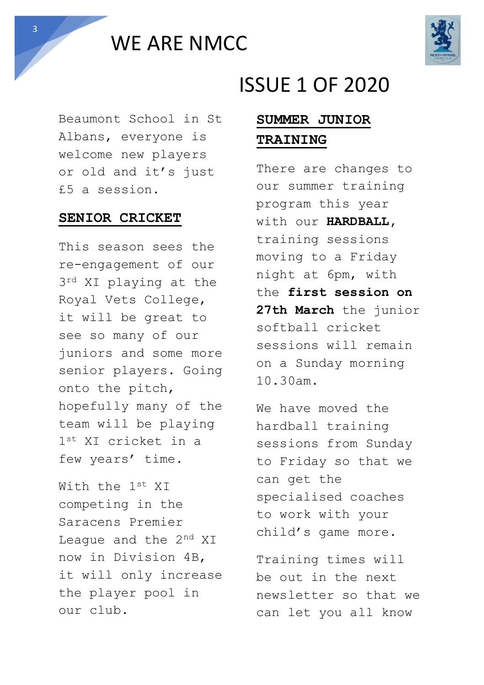WE ARE NMCC



Beaumont School in St Albans, everyone is welcome new players or old and it's just £5 a session.

#### **SENIOR CRICKET**

This season sees the re-engagement of our  $3^{rd}$  XI playing at the Royal Vets College, it will be great to see so many of our juniors and some more senior players. Going onto the pitch, hopefully many of the team will be playing 1st XI cricket in a few years' time.

With the 1st XI competing in the Saracens Premier League and the 2<sup>nd</sup> XI now in Division 4B, it will only increase the player pool in our club.

## ISSUE 1 OF 2020

### **SUMMER JUNIOR TRAINING**

There are changes to our summer training program this year with our **HARDBALL,**  training sessions moving to a Friday night at 6pm, with the **first session on 27th March** the junior softball cricket sessions will remain on a Sunday morning 10.30am.

We have moved the hardball training sessions from Sunday to Friday so that we can get the specialised coaches to work with your child's game more.

Training times will be out in the next newsletter so that we can let you all know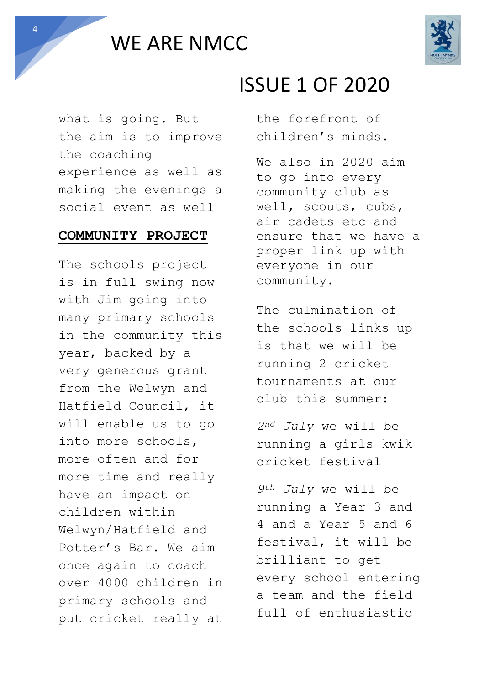



what is going. But the aim is to improve the coaching experience as well as making the evenings a social event as well

#### **COMMUNITY PROJECT**

The schools project is in full swing now with Jim going into many primary schools in the community this year, backed by a very generous grant from the Welwyn and Hatfield Council, it will enable us to go into more schools, more often and for more time and really have an impact on children within Welwyn/Hatfield and Potter's Bar. We aim once again to coach over 4000 children in primary schools and put cricket really at

# ISSUE 1 OF 2020

the forefront of children's minds.

We also in 2020 aim to go into every community club as well, scouts, cubs, air cadets etc and ensure that we have a proper link up with everyone in our community.

The culmination of the schools links up is that we will be running 2 cricket tournaments at our club this summer:

*2nd July* we will be running a girls kwik cricket festival

*9th July* we will be running a Year 3 and 4 and a Year 5 and 6 festival, it will be brilliant to get every school entering a team and the field full of enthusiastic

4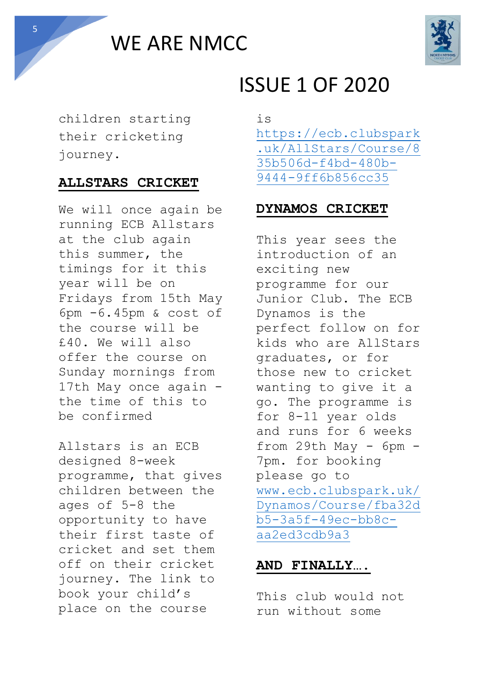WE ARE NMCC



children starting their cricketing journey.

### **ALLSTARS CRICKET**

We will once again be running ECB Allstars at the club again this summer, the timings for it this year will be on Fridays from 15th May 6pm -6.45pm & cost of the course will be £40. We will also offer the course on Sunday mornings from 17th May once again the time of this to be confirmed

Allstars is an ECB designed 8-week programme, that gives children between the ages of 5-8 the opportunity to have their first taste of cricket and set them off on their cricket journey. The link to book your child's place on the course

# ISSUE 1 OF 2020

is [https://ecb.clubspark](https://ecb.clubspark.uk/AllStars/Course/835b506d-f4bd-480b-9444-9ff6b856cc35) [.uk/AllStars/Course/8](https://ecb.clubspark.uk/AllStars/Course/835b506d-f4bd-480b-9444-9ff6b856cc35) [35b506d-f4bd-480b-](https://ecb.clubspark.uk/AllStars/Course/835b506d-f4bd-480b-9444-9ff6b856cc35)[9444-9ff6b856cc35](https://ecb.clubspark.uk/AllStars/Course/835b506d-f4bd-480b-9444-9ff6b856cc35)

### **DYNAMOS CRICKET**

This year sees the introduction of an exciting new programme for our Junior Club. The ECB Dynamos is the perfect follow on for kids who are AllStars graduates, or for those new to cricket wanting to give it a go. The programme is for 8-11 year olds and runs for 6 weeks from 29th May - 6pm - 7pm. for booking please go to [www.ecb.clubspark.uk/](https://ecb.clubspark.uk/Dynamos/Course/fba32db5-3a5f-49ec-bb8c-aa2ed3cdb9a3) [Dynamos/Course/fba32d](https://ecb.clubspark.uk/Dynamos/Course/fba32db5-3a5f-49ec-bb8c-aa2ed3cdb9a3) [b5-3a5f-49ec-bb8c](https://ecb.clubspark.uk/Dynamos/Course/fba32db5-3a5f-49ec-bb8c-aa2ed3cdb9a3)[aa2ed3cdb9a3](https://ecb.clubspark.uk/Dynamos/Course/fba32db5-3a5f-49ec-bb8c-aa2ed3cdb9a3) 

### **AND FINALLY….**

This club would not run without some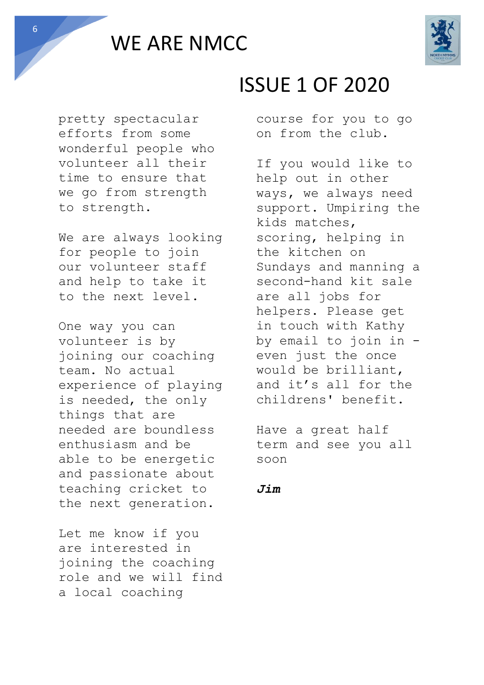



pretty spectacular efforts from some wonderful people who volunteer all their time to ensure that we go from strength to strength.

We are always looking for people to join our volunteer staff and help to take it to the next level.

One way you can volunteer is by joining our coaching team. No actual experience of playing is needed, the only things that are needed are boundless enthusiasm and be able to be energetic and passionate about teaching cricket to the next generation.

Let me know if you are interested in joining the coaching role and we will find a local coaching

# ISSUE 1 OF 2020

course for you to go on from the club.

If you would like to help out in other ways, we always need support. Umpiring the kids matches, scoring, helping in the kitchen on Sundays and manning a second-hand kit sale are all jobs for helpers. Please get in touch with Kathy by email to join in even just the once would be brilliant, and it's all for the childrens' benefit.

Have a great half term and see you all soon

#### *Jim*